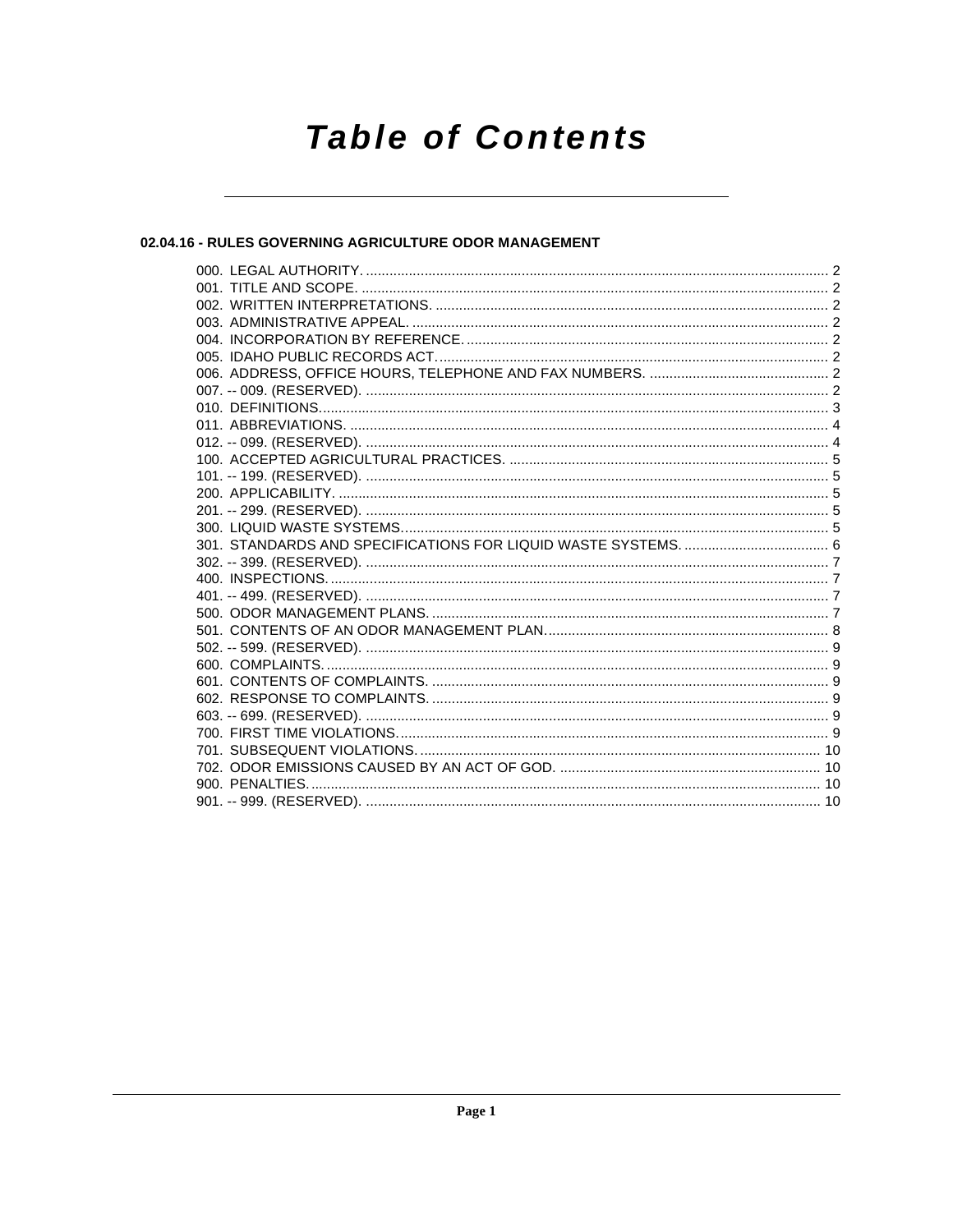# **Table of Contents**

# 02.04.16 - RULES GOVERNING AGRICULTURE ODOR MANAGEMENT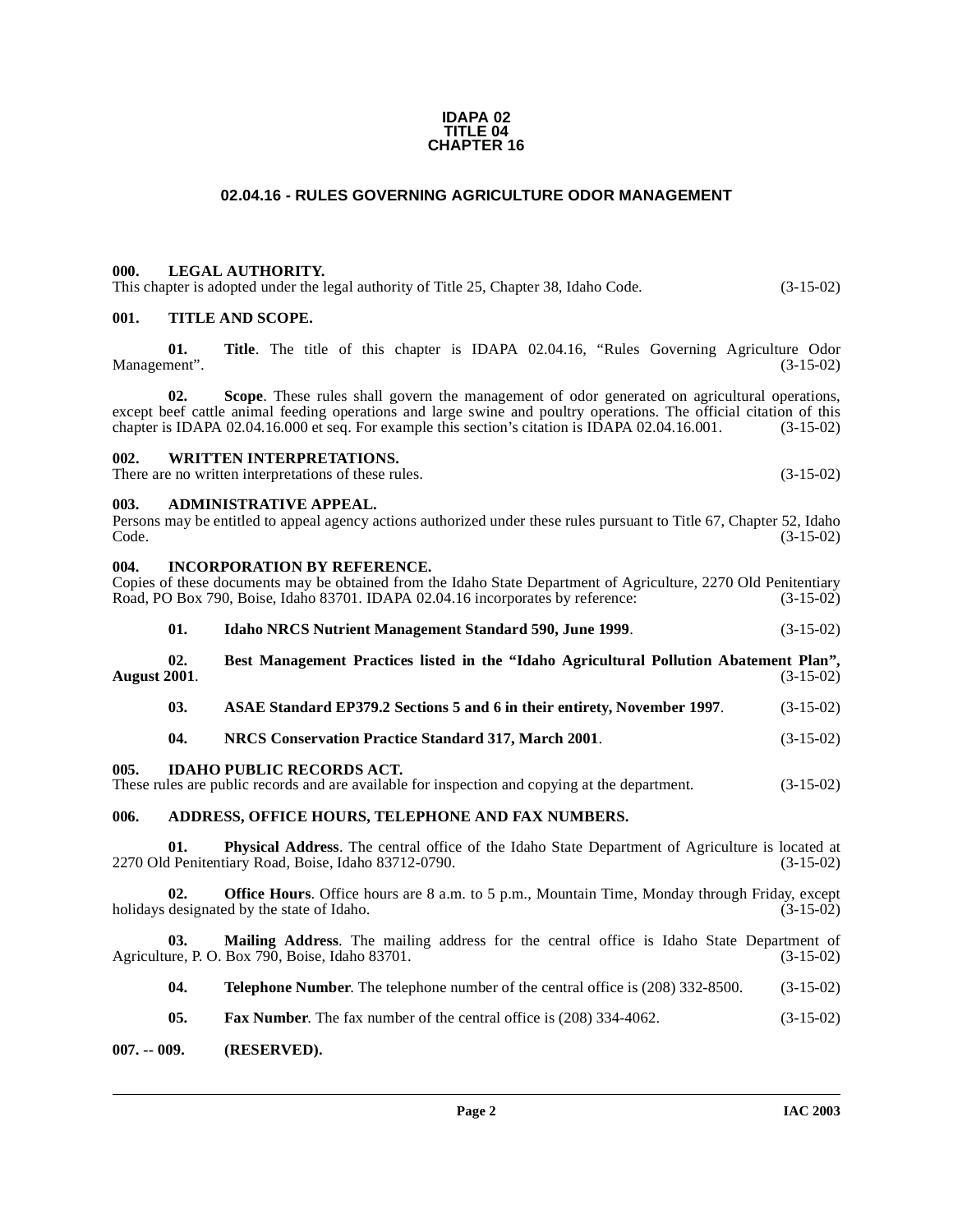#### **IDAPA 02 TITLE 04 CHAPTER 16**

# **02.04.16 - RULES GOVERNING AGRICULTURE ODOR MANAGEMENT**

# <span id="page-1-1"></span><span id="page-1-0"></span>**000. LEGAL AUTHORITY.**

| This chapter is adopted under the legal authority of Title 25, Chapter 38, Idaho Code. | $(3-15-02)$ |
|----------------------------------------------------------------------------------------|-------------|
|----------------------------------------------------------------------------------------|-------------|

# <span id="page-1-2"></span>**001. TITLE AND SCOPE.**

**01. Title**. The title of this chapter is IDAPA 02.04.16, "Rules Governing Agriculture Odor Management". (3-15-02)

**02. Scope**. These rules shall govern the management of odor generated on agricultural operations, except beef cattle animal feeding operations and large swine and poultry operations. The official citation of this chapter is IDAPA 02.04.16.000 et seq. For example this section's citation is IDAPA 02.04.16.001. (3-15-02) chapter is IDAPA 02.04.16.000 et seq. For example this section's citation is IDAPA 02.04.16.001.

#### <span id="page-1-3"></span>**002. WRITTEN INTERPRETATIONS.**

There are no written interpretations of these rules. (3-15-02)

#### <span id="page-1-4"></span>**003. ADMINISTRATIVE APPEAL.**

| Persons may be entitled to appeal agency actions authorized under these rules pursuant to Title 67, Chapter 52, Idaho |  |  |             |
|-----------------------------------------------------------------------------------------------------------------------|--|--|-------------|
| Code.                                                                                                                 |  |  | $(3-15-02)$ |

<span id="page-1-5"></span>

| 004.         |     | <b>INCORPORATION BY REFERENCE.</b><br>Copies of these documents may be obtained from the Idaho State Department of Agriculture, 2270 Old Penitentiary<br>Road, PO Box 790, Boise, Idaho 83701. IDAPA 02.04.16 incorporates by reference: | $(3-15-02)$ |
|--------------|-----|------------------------------------------------------------------------------------------------------------------------------------------------------------------------------------------------------------------------------------------|-------------|
|              | 01. | <b>Idaho NRCS Nutrient Management Standard 590, June 1999.</b>                                                                                                                                                                           | $(3-15-02)$ |
| August 2001. | 02. | Best Management Practices listed in the "Idaho Agricultural Pollution Abatement Plan",                                                                                                                                                   | $(3-15-02)$ |
|              | 03. | ASAE Standard EP379.2 Sections 5 and 6 in their entirety, November 1997.                                                                                                                                                                 | $(3-15-02)$ |
|              | 04. | NRCS Conservation Practice Standard 317, March 2001.                                                                                                                                                                                     | $(3-15-02)$ |
| 005.         |     | <b>IDAHO PUBLIC RECORDS ACT.</b><br>These rules are public records and are available for inspection and copying at the department.                                                                                                       | $(3-15-02)$ |
| 006.         |     | ADDRESS, OFFICE HOURS, TELEPHONE AND FAX NUMBERS.                                                                                                                                                                                        |             |
|              | 01. | Physical Address. The central office of the Idaho State Department of Agriculture is located at<br>2270 Old Penitentiary Road, Boise, Idaho 83712-0790.                                                                                  | $(3-15-02)$ |
|              | 02. | Office Hours. Office hours are 8 a.m. to 5 p.m., Mountain Time, Monday through Friday, except<br>holidays designated by the state of Idaho.                                                                                              | $(3-15-02)$ |

<span id="page-1-7"></span><span id="page-1-6"></span>**03.** Mailing Address. The mailing address for the central office is Idaho State Department of ure, P. O. Box 790, Boise, Idaho 83701. (3-15-02) Agriculture, P. O. Box 790, Boise, Idaho 83701.

**04. Telephone Number**. The telephone number of the central office is (208) 332-8500. (3-15-02)

**05. Fax Number**. The fax number of the central office is (208) 334-4062. (3-15-02)

<span id="page-1-8"></span>**007. -- 009. (RESERVED).**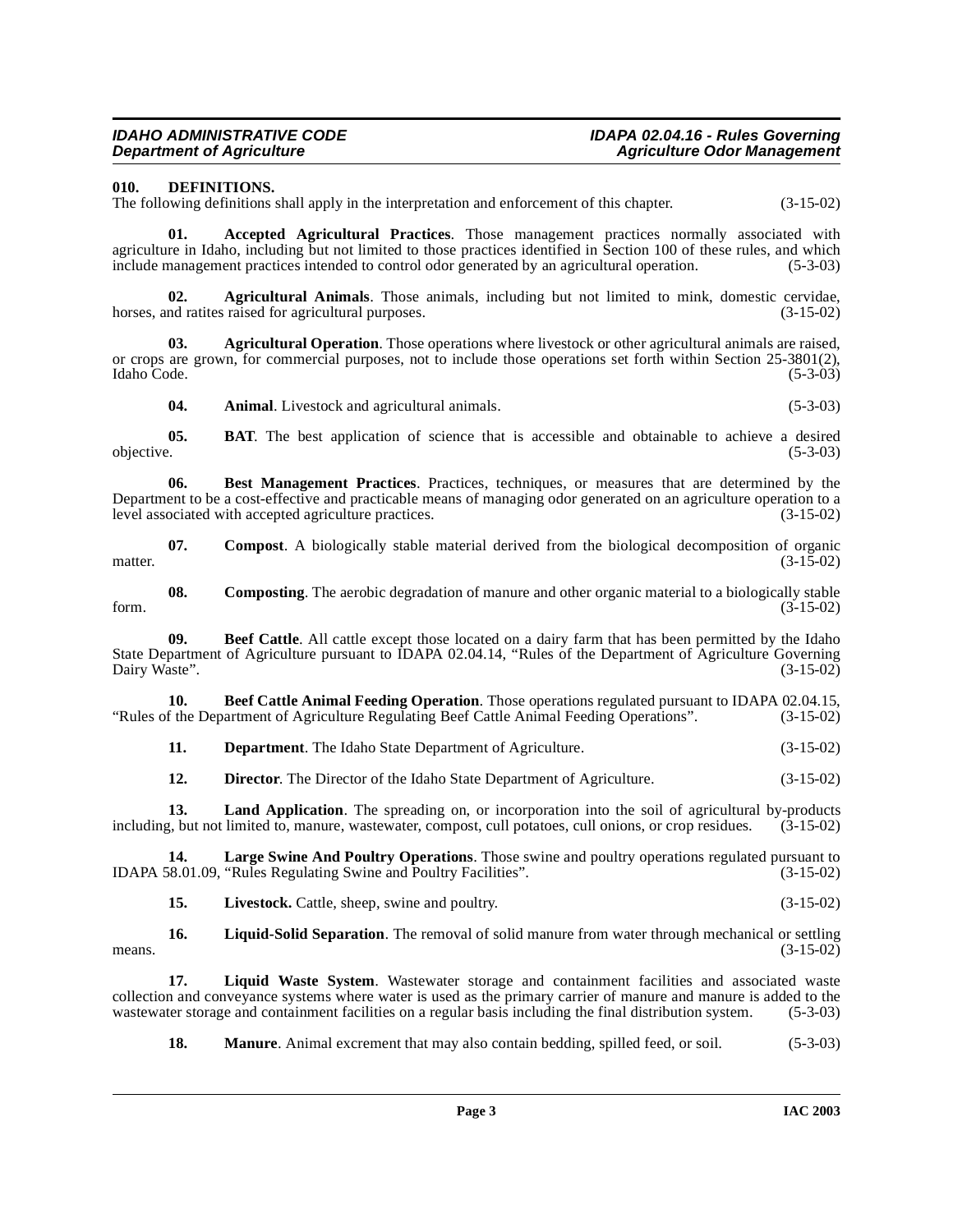# <span id="page-2-6"></span><span id="page-2-0"></span>**010. DEFINITIONS.**

The following definitions shall apply in the interpretation and enforcement of this chapter. (3-15-02)

<span id="page-2-1"></span>**01. Accepted Agricultural Practices**. Those management practices normally associated with agriculture in Idaho, including but not limited to those practices identified in Section 100 of these rules, and which include management practices intended to control odor generated by an agricultural operation. (5-3-03)

<span id="page-2-2"></span>**02. Agricultural Animals**. Those animals, including but not limited to mink, domestic cervidae, horses, and ratites raised for agricultural purposes. (3-15-02)

**03. Agricultural Operation**. Those operations where livestock or other agricultural animals are raised, or crops are grown, for commercial purposes, not to include those operations set forth within Section 25-3801(2), Idaho Code. (5-3-03) Idaho Code. (5-3-03)

<span id="page-2-3"></span>**04. Animal**. Livestock and agricultural animals. (5-3-03)

**05. BAT**. The best application of science that is accessible and obtainable to achieve a desired objective. (5-3-03) objective. (5-3-03)

**Best Management Practices**. Practices, techniques, or measures that are determined by the Department to be a cost-effective and practicable means of managing odor generated on an agriculture operation to a level associated with accepted agriculture practices. (3-15-02) level associated with accepted agriculture practices.

**07. Compost**. A biologically stable material derived from the biological decomposition of organic matter.  $(3-15-02)$ 

**08.** Composting. The aerobic degradation of manure and other organic material to a biologically stable (3-15-02) form. (3-15-02)

<span id="page-2-4"></span>**09.** Beef Cattle. All cattle except those located on a dairy farm that has been permitted by the Idaho State Department of Agriculture pursuant to IDAPA 02.04.14, "Rules of the Department of Agriculture Governing Dairy Waste". (3-15-02)

**10. Beef Cattle Animal Feeding Operation**. Those operations regulated pursuant to IDAPA 02.04.15, f the Department of Agriculture Regulating Beef Cattle Animal Feeding Operations". (3-15-02) "Rules of the Department of Agriculture Regulating Beef Cattle Animal Feeding Operations". (3-15-02)

<span id="page-2-5"></span>**11. Department**. The Idaho State Department of Agriculture. (3-15-02)

<span id="page-2-7"></span>**12. Director**. The Director of the Idaho State Department of Agriculture. (3-15-02)

**13.** Land Application. The spreading on, or incorporation into the soil of agricultural by-products z, but not limited to, manure, was tewater, compost, cull potatoes, cull onions, or crop residues. (3-15-02) including, but not limited to, manure, wastewater, compost, cull potatoes, cull onions, or crop residues.

**14. Large Swine And Poultry Operations**. Those swine and poultry operations regulated pursuant to 18.01.09, "Rules Regulating Swine and Poultry Facilities". IDAPA 58.01.09, "Rules Regulating Swine and Poultry Facilities".

<span id="page-2-9"></span><span id="page-2-8"></span>**15.** Livestock. Cattle, sheep, swine and poultry. (3-15-02)

**16.** Liquid-Solid Separation. The removal of solid manure from water through mechanical or settling (3-15-02) means.  $(3-15-02)$ 

**17. Liquid Waste System**. Wastewater storage and containment facilities and associated waste collection and conveyance systems where water is used as the primary carrier of manure and manure is added to the wastewater storage and containment facilities on a regular basis including the final distribution system. (5-3-03)

**18. Manure**. Animal excrement that may also contain bedding, spilled feed, or soil. (5-3-03)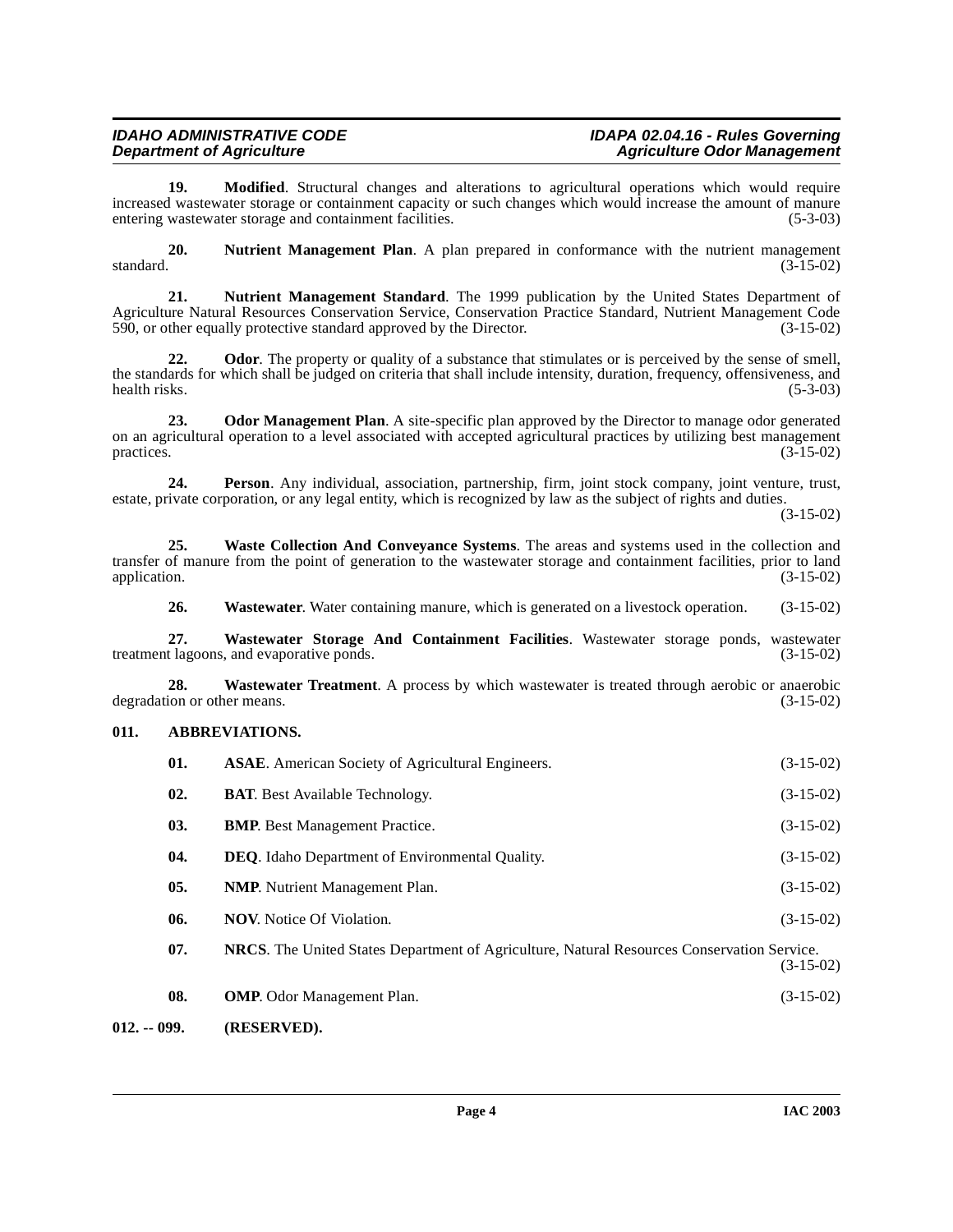# **IDAHO ADMINISTRATIVE CODE IDAPA 02.04.16 - Rules Governing Agriculture Odor Management**

**19. Modified**. Structural changes and alterations to agricultural operations which would require increased wastewater storage or containment capacity or such changes which would increase the amount of manure entering wastewater storage and containment facilities. (5-3-03)

<span id="page-3-3"></span>**20.** Nutrient Management Plan. A plan prepared in conformance with the nutrient management standard. (3-15-02)  $standard.$  (3-15-02)

<span id="page-3-4"></span>**21. Nutrient Management Standard**. The 1999 publication by the United States Department of Agriculture Natural Resources Conservation Service, Conservation Practice Standard, Nutrient Management Code 590, or other equally protective standard approved by the Director. (3-15-02)

**22.** Odor. The property or quality of a substance that stimulates or is perceived by the sense of smell, the standards for which shall be judged on criteria that shall include intensity, duration, frequency, offensiveness, and health risks. (5-3-03) health risks. (5-3-03)

<span id="page-3-5"></span>**23. Odor Management Plan**. A site-specific plan approved by the Director to manage odor generated on an agricultural operation to a level associated with accepted agricultural practices by utilizing best management practices. (3-15-02)  $practices.$  (3-15-02)

**24. Person**. Any individual, association, partnership, firm, joint stock company, joint venture, trust, estate, private corporation, or any legal entity, which is recognized by law as the subject of rights and duties.

(3-15-02)

**25. Waste Collection And Conveyance Systems**. The areas and systems used in the collection and transfer of manure from the point of generation to the wastewater storage and containment facilities, prior to land application. (3-15-02)

<span id="page-3-7"></span><span id="page-3-6"></span>**26.** Wastewater. Water containing manure, which is generated on a livestock operation. (3-15-02)

**27. Wastewater Storage And Containment Facilities**. Wastewater storage ponds, wastewater treatment lagoons, and evaporative ponds.

**28. Wastewater Treatment**. A process by which wastewater is treated through aerobic or anaerobic degradation or other means. (3-15-02)

# <span id="page-3-0"></span>**011. ABBREVIATIONS.**

<span id="page-3-2"></span><span id="page-3-1"></span>

| 01. | <b>ASAE.</b> American Society of Agricultural Engineers.                                   | $(3-15-02)$ |
|-----|--------------------------------------------------------------------------------------------|-------------|
| 02. | <b>BAT.</b> Best Available Technology.                                                     | $(3-15-02)$ |
| 03. | <b>BMP.</b> Best Management Practice.                                                      | $(3-15-02)$ |
| 04. | <b>DEO.</b> Idaho Department of Environmental Quality.                                     | $(3-15-02)$ |
| 05. | <b>NMP.</b> Nutrient Management Plan.                                                      | $(3-15-02)$ |
| 06. | <b>NOV.</b> Notice Of Violation.                                                           | $(3-15-02)$ |
| 07. | NRCS. The United States Department of Agriculture, Natural Resources Conservation Service. | $(3-15-02)$ |
| 08. | <b>OMP.</b> Odor Management Plan.                                                          | $(3-15-02)$ |
|     |                                                                                            |             |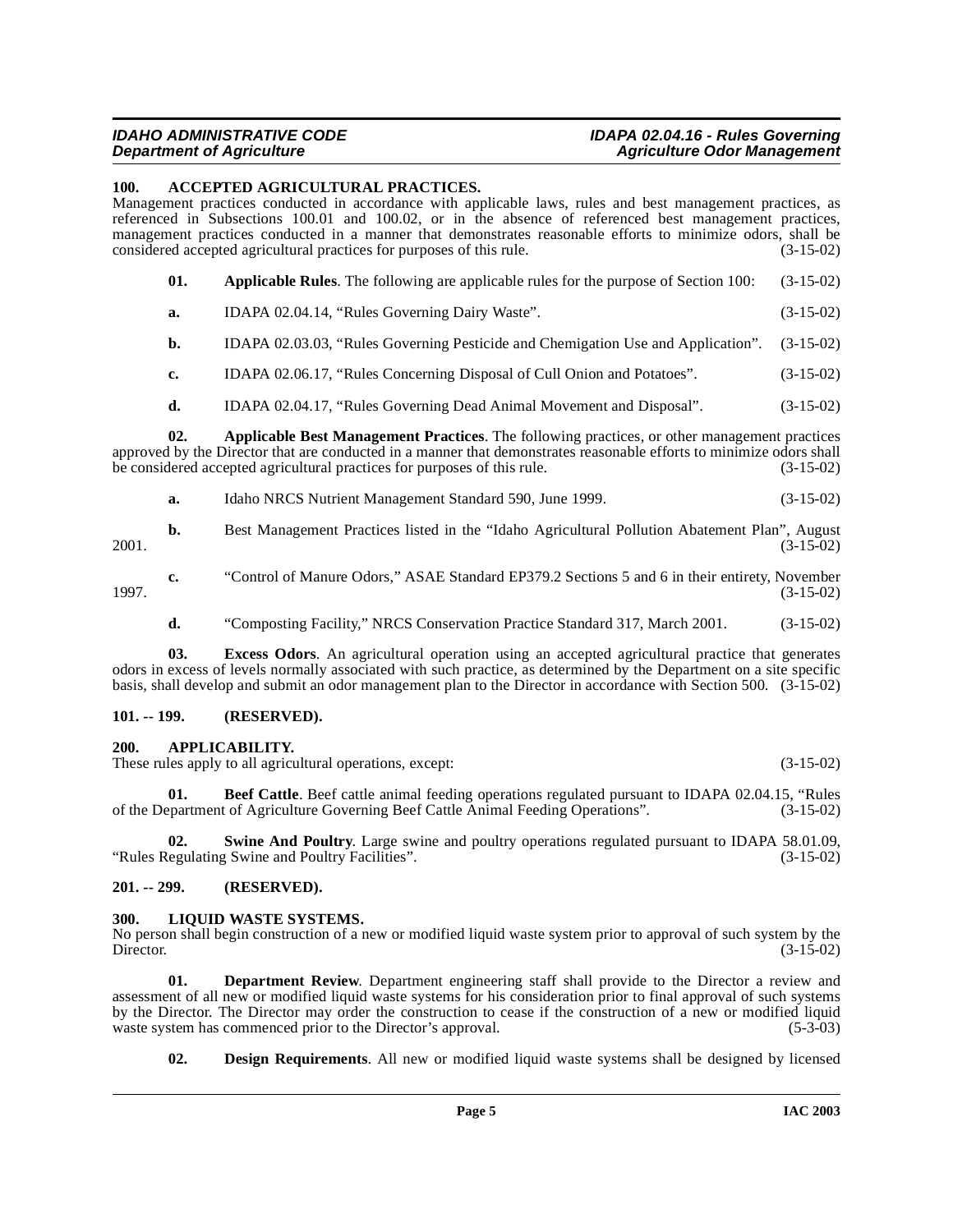#### **IDAHO ADMINISTRATIVE CODE IDAPA 02.04.16 - Rules Governing Agriculture Odor Management**

#### <span id="page-4-5"></span><span id="page-4-0"></span>**100. ACCEPTED AGRICULTURAL PRACTICES.**

Management practices conducted in accordance with applicable laws, rules and best management practices, as referenced in Subsections 100.01 and 100.02, or in the absence of referenced best management practices, management practices conducted in a manner that demonstrates reasonable efforts to minimize odors, shall be considered accepted agricultural practices for purposes of this rule. (3-15-02)

- **01. Applicable Rules**. The following are applicable rules for the purpose of Section 100: (3-15-02)
- **a.** IDAPA 02.04.14, "Rules Governing Dairy Waste". (3-15-02)
- **b.** IDAPA 02.03.03, "Rules Governing Pesticide and Chemigation Use and Application". (3-15-02)
- **c.** IDAPA 02.06.17, "Rules Concerning Disposal of Cull Onion and Potatoes". (3-15-02)
- <span id="page-4-6"></span>**d.** IDAPA 02.04.17, "Rules Governing Dead Animal Movement and Disposal". (3-15-02)

**02. Applicable Best Management Practices**. The following practices, or other management practices approved by the Director that are conducted in a manner that demonstrates reasonable efforts to minimize odors shall be considered accepted agricultural practices for purposes of this rule. (3-15-02)

| Idaho NRCS Nutrient Management Standard 590, June 1999. | $(3-15-02)$ |
|---------------------------------------------------------|-------------|
|                                                         |             |

**b.** Best Management Practices listed in the "Idaho Agricultural Pollution Abatement Plan", August (3-15-02) 2001. (3-15-02)

**c.** "Control of Manure Odors," ASAE Standard EP379.2 Sections 5 and 6 in their entirety, November 1997. (3-15-02)

**d.** "Composting Facility," NRCS Conservation Practice Standard 317, March 2001. (3-15-02)

**03. Excess Odors**. An agricultural operation using an accepted agricultural practice that generates odors in excess of levels normally associated with such practice, as determined by the Department on a site specific basis, shall develop and submit an odor management plan to the Director in accordance with Section 500. (3-15-02)

# <span id="page-4-1"></span>**101. -- 199. (RESERVED).**

#### <span id="page-4-2"></span>**200. APPLICABILITY.**

These rules apply to all agricultural operations, except: (3-15-02)

**01. Beef Cattle**. Beef cattle animal feeding operations regulated pursuant to IDAPA 02.04.15, "Rules partment of Agriculture Governing Beef Cattle Animal Feeding Operations". (3-15-02) of the Department of Agriculture Governing Beef Cattle Animal Feeding Operations".

**02. Swine And Poultry**. Large swine and poultry operations regulated pursuant to IDAPA 58.01.09, "Rules Regulating Swine and Poultry Facilities". (3-15-02)

#### <span id="page-4-3"></span>**201. -- 299. (RESERVED).**

#### <span id="page-4-7"></span><span id="page-4-4"></span>**300. LIQUID WASTE SYSTEMS.**

No person shall begin construction of a new or modified liquid waste system prior to approval of such system by the Director. (3-15-02) Director. (3-15-02)

**01. Department Review**. Department engineering staff shall provide to the Director a review and assessment of all new or modified liquid waste systems for his consideration prior to final approval of such systems by the Director. The Director may order the construction to cease if the construction of a new or modified liquid waste system has commenced prior to the Director's approval. (5-3-03) waste system has commenced prior to the Director's approval.

**02. Design Requirements**. All new or modified liquid waste systems shall be designed by licensed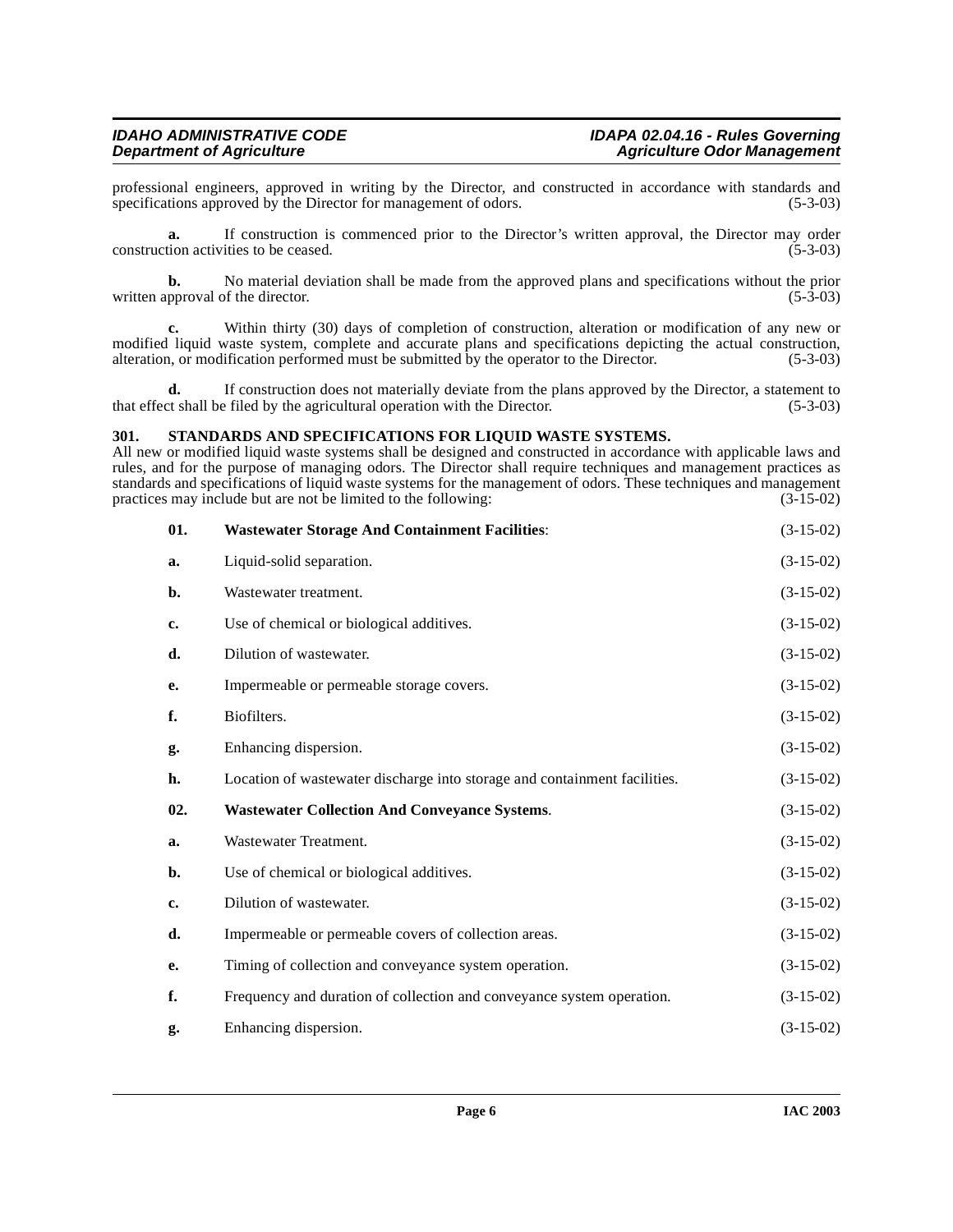professional engineers, approved in writing by the Director, and constructed in accordance with standards and specifications approved by the Director for management of odors. (5-3-03) specifications approved by the Director for management of odors.

**a.** If construction is commenced prior to the Director's written approval, the Director may order tion activities to be ceased.  $(5-3-03)$ construction activities to be ceased.

**b.** No material deviation shall be made from the approved plans and specifications without the prior pproval of the director. (5-3-03) written approval of the director.

**c.** Within thirty (30) days of completion of construction, alteration or modification of any new or modified liquid waste system, complete and accurate plans and specifications depicting the actual construction, alteration, or modification performed must be submitted by the operator to the Director. (5-3-03) alteration, or modification performed must be submitted by the operator to the Director.

**d.** If construction does not materially deviate from the plans approved by the Director, a statement to that effect shall be filed by the agricultural operation with the Director. (5-3-03)

# <span id="page-5-1"></span><span id="page-5-0"></span>**301. STANDARDS AND SPECIFICATIONS FOR LIQUID WASTE SYSTEMS.**

All new or modified liquid waste systems shall be designed and constructed in accordance with applicable laws and rules, and for the purpose of managing odors. The Director shall require techniques and management practices as standards and specifications of liquid waste systems for the management of odors. These techniques and management practices may include but are not be limited to the following: (3-15-02)

<span id="page-5-2"></span>

| 01. | <b>Wastewater Storage And Containment Facilities:</b>                     | $(3-15-02)$ |
|-----|---------------------------------------------------------------------------|-------------|
| a.  | Liquid-solid separation.                                                  | $(3-15-02)$ |
| b.  | Wastewater treatment.                                                     | $(3-15-02)$ |
| c.  | Use of chemical or biological additives.                                  | $(3-15-02)$ |
| d.  | Dilution of wastewater.                                                   | $(3-15-02)$ |
| e.  | Impermeable or permeable storage covers.                                  | $(3-15-02)$ |
| f.  | Biofilters.                                                               | $(3-15-02)$ |
| g.  | Enhancing dispersion.                                                     | $(3-15-02)$ |
| h.  | Location of wastewater discharge into storage and containment facilities. | $(3-15-02)$ |
| 02. | <b>Wastewater Collection And Conveyance Systems.</b>                      | $(3-15-02)$ |
| a.  | Wastewater Treatment.                                                     | $(3-15-02)$ |
| b.  | Use of chemical or biological additives.                                  | $(3-15-02)$ |
| c.  | Dilution of wastewater.                                                   | $(3-15-02)$ |
| d.  | Impermeable or permeable covers of collection areas.                      | $(3-15-02)$ |
| е.  | Timing of collection and conveyance system operation.                     | $(3-15-02)$ |
| f.  | Frequency and duration of collection and conveyance system operation.     | $(3-15-02)$ |
| g.  | Enhancing dispersion.                                                     | $(3-15-02)$ |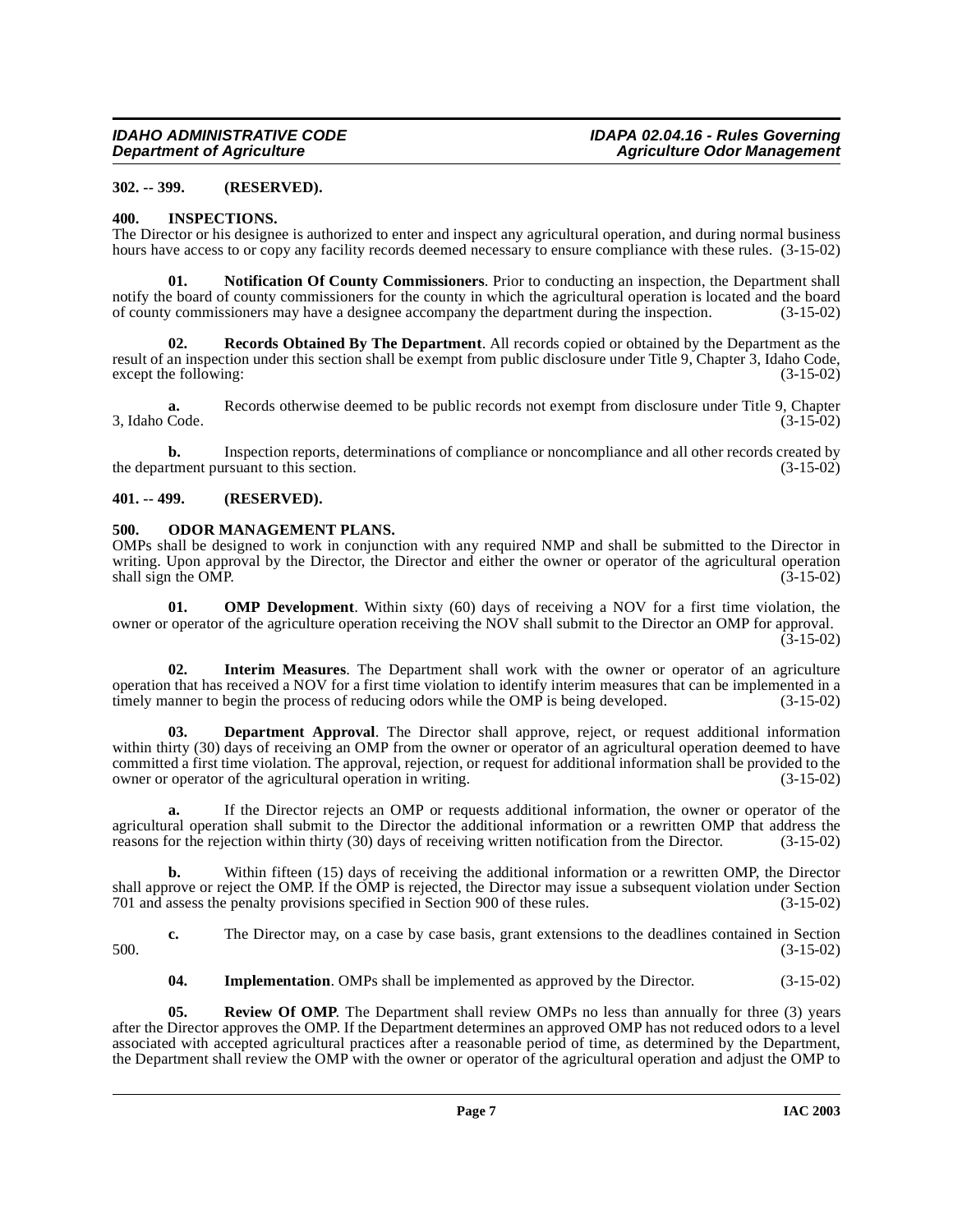# <span id="page-6-0"></span>**302. -- 399. (RESERVED).**

# <span id="page-6-5"></span><span id="page-6-1"></span>**400. INSPECTIONS.**

The Director or his designee is authorized to enter and inspect any agricultural operation, and during normal business hours have access to or copy any facility records deemed necessary to ensure compliance with these rules. (3-15-02)

<span id="page-6-7"></span>**01. Notification Of County Commissioners**. Prior to conducting an inspection, the Department shall notify the board of county commissioners for the county in which the agricultural operation is located and the board of county commissioners may have a designee accompany the department during the inspection. (3-15-02)

<span id="page-6-10"></span>**02. Records Obtained By The Department**. All records copied or obtained by the Department as the result of an inspection under this section shall be exempt from public disclosure under Title 9, Chapter 3, Idaho Code, except the following: (3-15-02) except the following:

**a.** Records otherwise deemed to be public records not exempt from disclosure under Title 9, Chapter Code. (3-15-02) 3, Idaho Code.

**b.** Inspection reports, determinations of compliance or noncompliance and all other records created by the department pursuant to this section. (3-15-02)

#### <span id="page-6-2"></span>**401. -- 499. (RESERVED).**

# <span id="page-6-9"></span><span id="page-6-3"></span>**500. ODOR MANAGEMENT PLANS.**

OMPs shall be designed to work in conjunction with any required NMP and shall be submitted to the Director in writing. Upon approval by the Director, the Director and either the owner or operator of the agricultural operation shall sign the OMP. shall sign the OMP.

<span id="page-6-8"></span>**01. OMP Development**. Within sixty (60) days of receiving a NOV for a first time violation, the owner or operator of the agriculture operation receiving the NOV shall submit to the Director an OMP for approval.  $(3-15-02)$ 

<span id="page-6-6"></span>**02. Interim Measures**. The Department shall work with the owner or operator of an agriculture operation that has received a NOV for a first time violation to identify interim measures that can be implemented in a timely manner to begin the process of reducing odors while the OMP is being developed. (3-15-02)

<span id="page-6-4"></span>**03. Department Approval**. The Director shall approve, reject, or request additional information within thirty (30) days of receiving an OMP from the owner or operator of an agricultural operation deemed to have committed a first time violation. The approval, rejection, or request for additional information shall be provided to the owner or operator of the agricultural operation in writing. (3-15-02)

**a.** If the Director rejects an OMP or requests additional information, the owner or operator of the agricultural operation shall submit to the Director the additional information or a rewritten OMP that address the reasons for the rejection within thirty (30) days of receiving written notification from the Director. (3-15-02)

**b.** Within fifteen (15) days of receiving the additional information or a rewritten OMP, the Director shall approve or reject the OMP. If the OMP is rejected, the Director may issue a subsequent violation under Section 701 and assess the penalty provisions specified in Section 900 of these rules. (3-15-02)

**c.** The Director may, on a case by case basis, grant extensions to the deadlines contained in Section (3-15-02) 500. (3-15-02)

<span id="page-6-11"></span>**04.** Implementation. OMPs shall be implemented as approved by the Director.  $(3-15-02)$ 

**05.** Review Of OMP. The Department shall review OMPs no less than annually for three (3) years after the Director approves the OMP. If the Department determines an approved OMP has not reduced odors to a level associated with accepted agricultural practices after a reasonable period of time, as determined by the Department, the Department shall review the OMP with the owner or operator of the agricultural operation and adjust the OMP to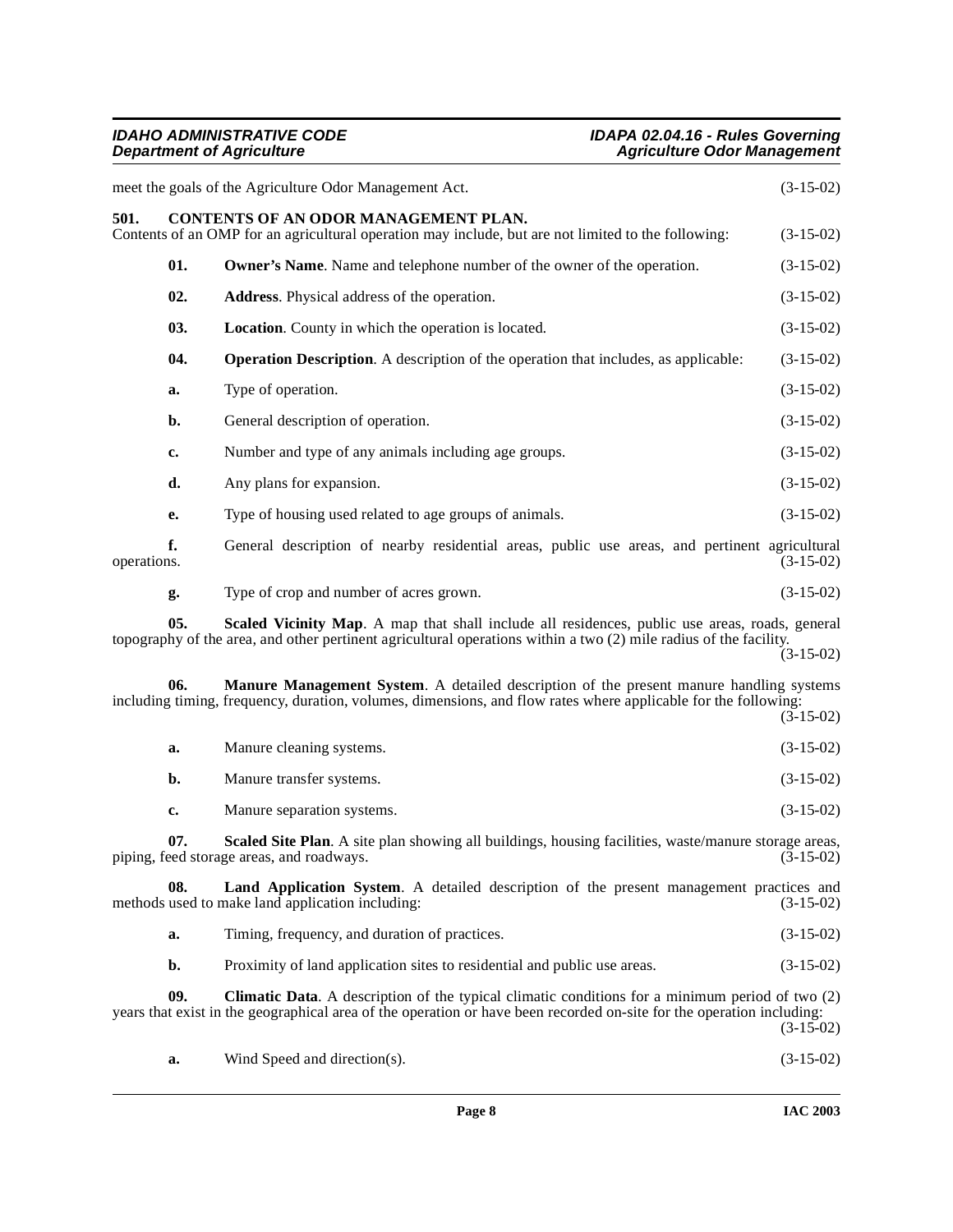# **IDAHO ADMINISTRATIVE CODE IDAPA 02.04.16 - Rules Governing Department of Agriculture Agriculture Agriculture Odor Management**

<span id="page-7-3"></span><span id="page-7-2"></span><span id="page-7-1"></span><span id="page-7-0"></span>

|             |     | meet the goals of the Agriculture Odor Management Act.                                                                                                                                                                          | $(3-15-02)$ |
|-------------|-----|---------------------------------------------------------------------------------------------------------------------------------------------------------------------------------------------------------------------------------|-------------|
| 501.        |     | <b>CONTENTS OF AN ODOR MANAGEMENT PLAN.</b><br>Contents of an OMP for an agricultural operation may include, but are not limited to the following:                                                                              | $(3-15-02)$ |
|             | 01. | <b>Owner's Name.</b> Name and telephone number of the owner of the operation.                                                                                                                                                   | $(3-15-02)$ |
|             | 02. | Address. Physical address of the operation.                                                                                                                                                                                     | $(3-15-02)$ |
|             | 03. | <b>Location.</b> County in which the operation is located.                                                                                                                                                                      | $(3-15-02)$ |
|             | 04. | <b>Operation Description.</b> A description of the operation that includes, as applicable:                                                                                                                                      | $(3-15-02)$ |
|             | a.  | Type of operation.                                                                                                                                                                                                              | $(3-15-02)$ |
|             | b.  | General description of operation.                                                                                                                                                                                               | $(3-15-02)$ |
|             | c.  | Number and type of any animals including age groups.                                                                                                                                                                            | $(3-15-02)$ |
|             | d.  | Any plans for expansion.                                                                                                                                                                                                        | $(3-15-02)$ |
|             | e.  | Type of housing used related to age groups of animals.                                                                                                                                                                          | $(3-15-02)$ |
| operations. | f.  | General description of nearby residential areas, public use areas, and pertinent agricultural                                                                                                                                   | $(3-15-02)$ |
|             | g.  | Type of crop and number of acres grown.                                                                                                                                                                                         | $(3-15-02)$ |
|             | 05. | Scaled Vicinity Map. A map that shall include all residences, public use areas, roads, general<br>topography of the area, and other pertinent agricultural operations within a two (2) mile radius of the facility.             | $(3-15-02)$ |
|             | 06. | Manure Management System. A detailed description of the present manure handling systems<br>including timing, frequency, duration, volumes, dimensions, and flow rates where applicable for the following:                       | $(3-15-02)$ |
|             | a.  | Manure cleaning systems.                                                                                                                                                                                                        | $(3-15-02)$ |
|             | b.  | Manure transfer systems.                                                                                                                                                                                                        | $(3-15-02)$ |
|             | c.  | Manure separation systems.                                                                                                                                                                                                      | $(3-15-02)$ |
|             | 07. | Scaled Site Plan. A site plan showing all buildings, housing facilities, waste/manure storage areas,<br>piping, feed storage areas, and roadways.                                                                               | $(3-15-02)$ |
|             | 08. | Land Application System. A detailed description of the present management practices and<br>methods used to make land application including:                                                                                     | $(3-15-02)$ |
|             | a.  | Timing, frequency, and duration of practices.                                                                                                                                                                                   | $(3-15-02)$ |
|             | b.  | Proximity of land application sites to residential and public use areas.                                                                                                                                                        | $(3-15-02)$ |
|             | 09. | <b>Climatic Data.</b> A description of the typical climatic conditions for a minimum period of two (2)<br>years that exist in the geographical area of the operation or have been recorded on-site for the operation including: | $(3-15-02)$ |
|             | a.  | Wind Speed and direction(s).                                                                                                                                                                                                    | $(3-15-02)$ |
|             |     |                                                                                                                                                                                                                                 |             |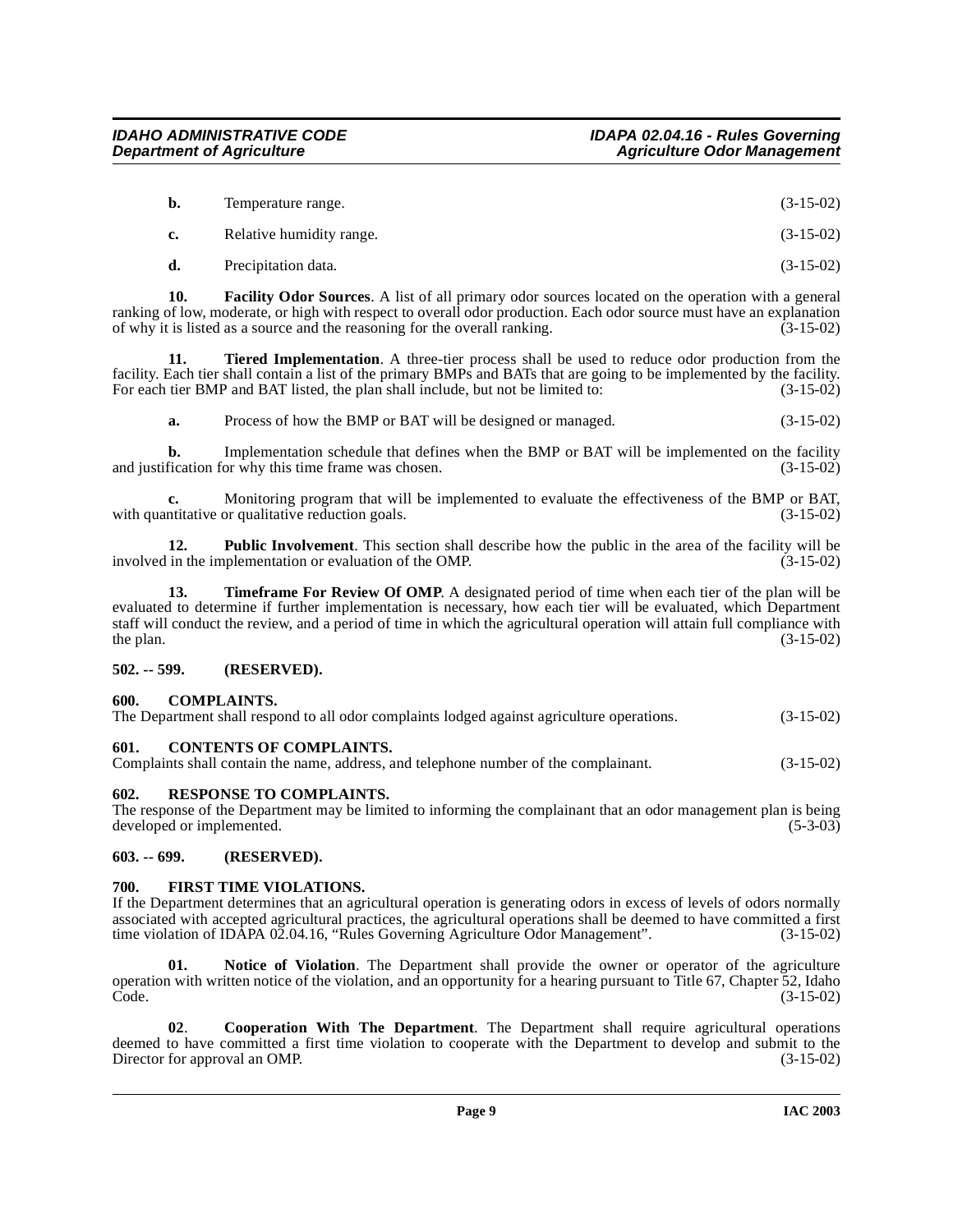| b.             | Temperature range.       | $(3-15-02)$ |
|----------------|--------------------------|-------------|
| $\mathbf{c}$ . | Relative humidity range. | $(3-15-02)$ |

<span id="page-8-7"></span>**d.** Precipitation data. (3-15-02)

**10. Facility Odor Sources**. A list of all primary odor sources located on the operation with a general ranking of low, moderate, or high with respect to overall odor production. Each odor source must have an explanation of why it is listed as a source and the reasoning for the overall ranking. (3-15-02)

**11. Tiered Implementation**. A three-tier process shall be used to reduce odor production from the facility. Each tier shall contain a list of the primary BMPs and BATs that are going to be implemented by the facility. For each tier BMP and BAT listed, the plan shall include, but not be limited to: (3-15-02)

<span id="page-8-10"></span>**a.** Process of how the BMP or BAT will be designed or managed.  $(3-15-02)$ 

**b.** Implementation schedule that defines when the BMP or BAT will be implemented on the facility and justification for why this time frame was chosen. (3-15-02)

**c.** Monitoring program that will be implemented to evaluate the effectiveness of the BMP or BAT, intitative or qualitative reduction goals.  $(3-15-02)$ with quantitative or qualitative reduction goals.

**12. Public Involvement**. This section shall describe how the public in the area of the facility will be involved in the implementation or evaluation of the OMP. (3-15-02)

**13. Timeframe For Review Of OMP**. A designated period of time when each tier of the plan will be evaluated to determine if further implementation is necessary, how each tier will be evaluated, which Department staff will conduct the review, and a period of time in which the agricultural operation will attain full compliance with the plan. (3-15-02) the plan.  $(3-15-02)$ 

# <span id="page-8-0"></span>**502. -- 599. (RESERVED).**

# <span id="page-8-6"></span><span id="page-8-1"></span>**600. COMPLAINTS.**

| The Department shall respond to all odor complaints lodged against agriculture operations. |  |  |  |  |  |  | $(3-15-02)$ |
|--------------------------------------------------------------------------------------------|--|--|--|--|--|--|-------------|
|--------------------------------------------------------------------------------------------|--|--|--|--|--|--|-------------|

# <span id="page-8-2"></span>**601. CONTENTS OF COMPLAINTS.**

|  | Complaints shall contain the name, address, and telephone number of the complainant. | $(3-15-02)$ |
|--|--------------------------------------------------------------------------------------|-------------|
|--|--------------------------------------------------------------------------------------|-------------|

<span id="page-8-9"></span><span id="page-8-3"></span>**602. RESPONSE TO COMPLAINTS.** 

The response of the Department may be limited to informing the complainant that an odor management plan is being developed or implemented. (5-3-03) (5-3-03)

# <span id="page-8-4"></span>**603. -- 699. (RESERVED).**

# <span id="page-8-8"></span><span id="page-8-5"></span>**700. FIRST TIME VIOLATIONS.**

If the Department determines that an agricultural operation is generating odors in excess of levels of odors normally associated with accepted agricultural practices, the agricultural operations shall be deemed to have committed a first time violation of IDAPA 02.04.16, "Rules Governing Agriculture Odor Management". (3-15-02)

**01. Notice of Violation**. The Department shall provide the owner or operator of the agriculture operation with written notice of the violation, and an opportunity for a hearing pursuant to Title 67, Chapter 52, Idaho Code. (3-15-02)

**02**. **Cooperation With The Department**. The Department shall require agricultural operations deemed to have committed a first time violation to cooperate with the Department to develop and submit to the Director for approval an OMP. (3-15-02) Director for approval an OMP.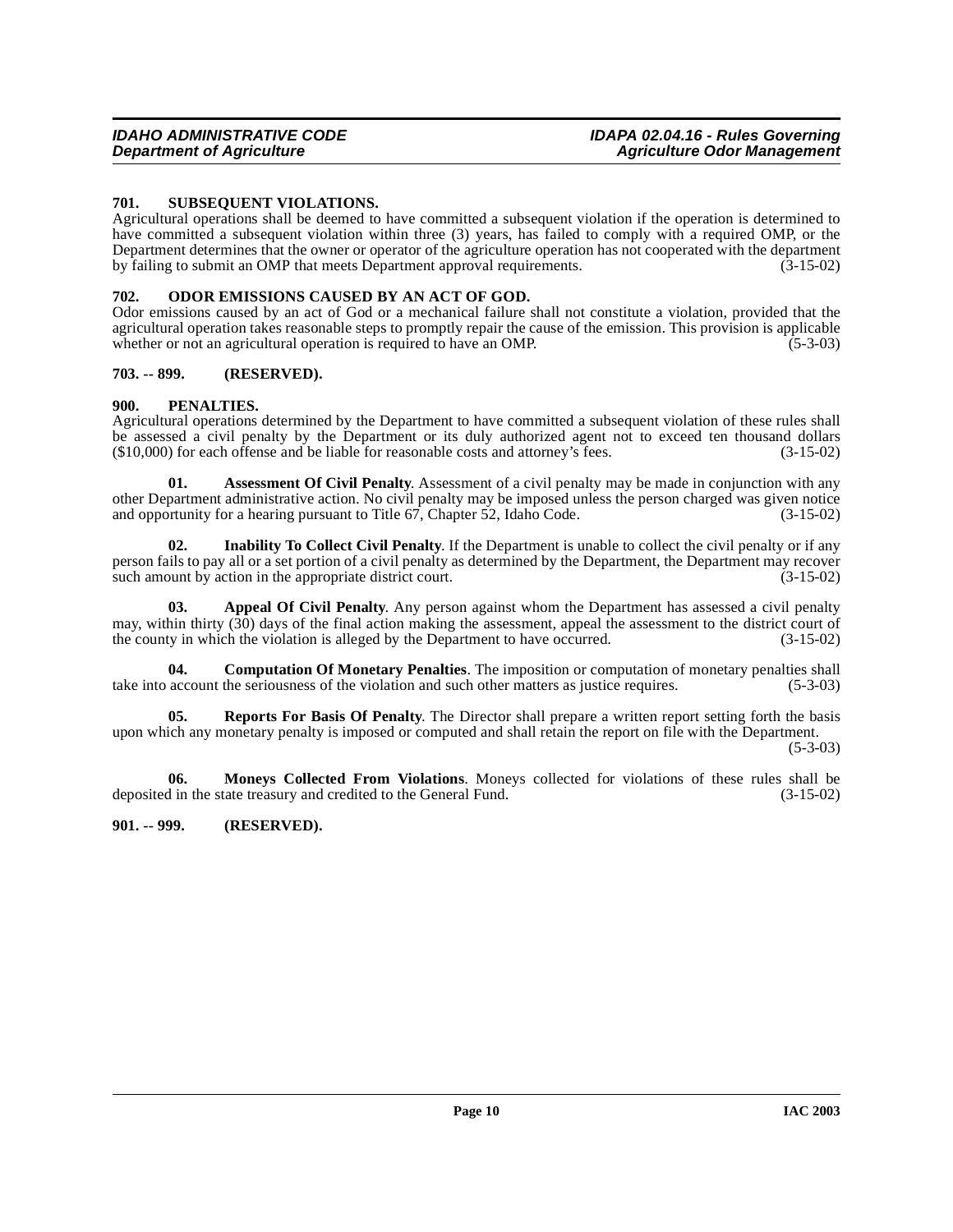# <span id="page-9-10"></span><span id="page-9-0"></span>**701. SUBSEQUENT VIOLATIONS.**

Agricultural operations shall be deemed to have committed a subsequent violation if the operation is determined to have committed a subsequent violation within three (3) years, has failed to comply with a required OMP, or the Department determines that the owner or operator of the agriculture operation has not cooperated with the department by failing to submit an OMP that meets Department approval requirements. (3-15-02)

#### <span id="page-9-8"></span><span id="page-9-1"></span>**702. ODOR EMISSIONS CAUSED BY AN ACT OF GOD.**

Odor emissions caused by an act of God or a mechanical failure shall not constitute a violation, provided that the agricultural operation takes reasonable steps to promptly repair the cause of the emission. This provision is applicable whether or not an agricultural operation is required to have an OMP. (5-3-03)

# **703. -- 899. (RESERVED).**

# <span id="page-9-9"></span><span id="page-9-2"></span>**900. PENALTIES.**

Agricultural operations determined by the Department to have committed a subsequent violation of these rules shall be assessed a civil penalty by the Department or its duly authorized agent not to exceed ten thousand dollars (\$10,000) for each offense and be liable for reasonable costs and attorney's fees. (3-15-02)  $($10,000)$  for each offense and be liable for reasonable costs and attorney's fees.

<span id="page-9-5"></span>**01. Assessment Of Civil Penalty**. Assessment of a civil penalty may be made in conjunction with any other Department administrative action. No civil penalty may be imposed unless the person charged was given notice and opportunity for a hearing pursuant to Title 67, Chapter 52, Idaho Code. (3-15-02) and opportunity for a hearing pursuant to Title  $67$ , Chapter  $52$ , Idaho Code.

<span id="page-9-7"></span>**02. Inability To Collect Civil Penalty**. If the Department is unable to collect the civil penalty or if any person fails to pay all or a set portion of a civil penalty as determined by the Department, the Department may recover such amount by action in the appropriate district court. (3-15-02)

<span id="page-9-4"></span>Appeal Of Civil Penalty. Any person against whom the Department has assessed a civil penalty may, within thirty  $(30)$  days of the final action making the assessment, appeal the assessment to the district court of the county in which the violation is alleged by the Department to have occurred. (3-15-02)

<span id="page-9-6"></span>**04. Computation Of Monetary Penalties**. The imposition or computation of monetary penalties shall take into account the seriousness of the violation and such other matters as justice requires. (5-3-03)

**05. Reports For Basis Of Penalty**. The Director shall prepare a written report setting forth the basis upon which any monetary penalty is imposed or computed and shall retain the report on file with the Department.

 $(5-3-03)$ 

**06.** Moneys Collected From Violations. Moneys collected for violations of these rules shall be din the state treasury and credited to the General Fund. (3-15-02) deposited in the state treasury and credited to the General Fund.

# <span id="page-9-3"></span>**901. -- 999. (RESERVED).**